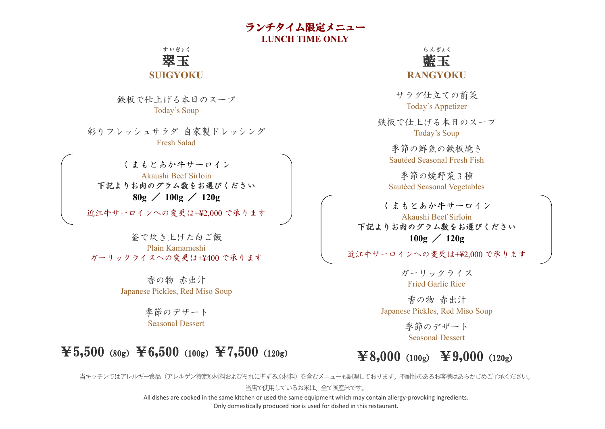ランチタイム限定メニュー **LUNCH TIME ONLY**

翠 玉 す い ぎょく

#### **SUIGYOKU**

鉄板で仕上げる本日のスープ Today's Soup

彩りフレッシュサラダ 自家製ドレッシング Fresh Salad

くまもとあか牛サーロイン Akaushi Beef Sirloin 下記よりお肉のグラム数をお選びください **80g** / **100g** / **120g**

近江牛サーロインへの変更は+¥2,000 で承ります

釜で炊き上げた白ご飯 Plain Kamameshi ガーリックライスへの変更は+¥400 で承ります

> 香の物 赤出汁 Japanese Pickles, Red Miso Soup

> > 季節のデザート Seasonal Dessert

# $\textbf{\texttt{Y5,500}}$  (80g)  $\textbf{\texttt{Y6,500}}$  (100g)  $\textbf{\texttt{Y7,500}}$  (120g)



サラダ仕立ての前菜 Today's Appetizer

鉄板で仕上げる本日のスープ Today's Soup

季節の鮮魚の鉄板焼き Sautéed Seasonal Fresh Fish

季節の焼野菜 3 種 Sautéed Seasonal Vegetables

くまもとあか牛サーロイン Akaushi Beef Sirloin 下記よりお肉のグラム数をお選びください **100g** / **120g**

近江牛サーロインへの変更は+¥2,000 で承ります

ガーリックライス Fried Garlic Rice

香の物 赤出汁 Japanese Pickles, Red Miso Soup

> 季節のデザート Seasonal Dessert

# ¥8,000(100**g**) ¥9,000(120**g**)

当キッチンではアレルギー食品(アレルゲン特定原材料およびそれに準ずる原材料)を含むメニューも調理しております。不耐性のあるお客様はあらかじめご了承ください。

当店で使用しているお米は、全て国産米です。

All dishes are cooked in the same kitchen or used the same equipment which may contain allergy-provoking ingredients. Only domestically produced rice is used for dished in this restaurant.